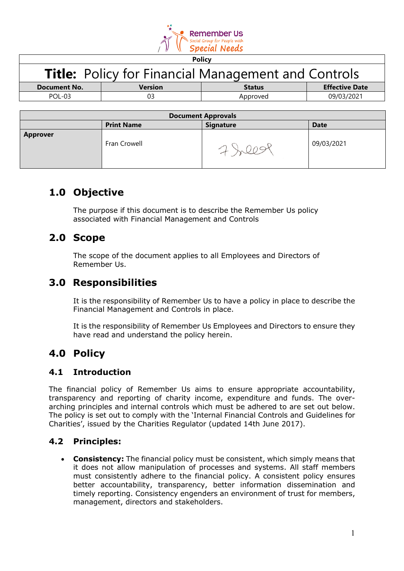

| <b>Policy</b>                                              |         |               |                       |
|------------------------------------------------------------|---------|---------------|-----------------------|
| <b>Title:</b> Policy for Financial Management and Controls |         |               |                       |
| Document No.                                               | Version | <b>Status</b> | <b>Effective Date</b> |
| POI -03                                                    |         | Approved      | 09/03/2021            |
|                                                            |         |               |                       |

| <b>Document Approvals</b> |                   |                  |             |
|---------------------------|-------------------|------------------|-------------|
|                           | <b>Print Name</b> | <b>Signature</b> | <b>Date</b> |
| <b>Approver</b>           | Fran Crowell      |                  | 09/03/2021  |

# **1.0 Objective**

The purpose if this document is to describe the Remember Us policy associated with Financial Management and Controls

# **2.0 Scope**

The scope of the document applies to all Employees and Directors of Remember Us.

# **3.0 Responsibilities**

It is the responsibility of Remember Us to have a policy in place to describe the Financial Management and Controls in place.

It is the responsibility of Remember Us Employees and Directors to ensure they have read and understand the policy herein.

# **4.0 Policy**

## **4.1 Introduction**

The financial policy of Remember Us aims to ensure appropriate accountability, transparency and reporting of charity income, expenditure and funds. The overarching principles and internal controls which must be adhered to are set out below. The policy is set out to comply with the 'Internal Financial Controls and Guidelines for Charities', issued by the Charities Regulator (updated 14th June 2017).

## **4.2 Principles:**

• **Consistency:** The financial policy must be consistent, which simply means that it does not allow manipulation of processes and systems. All staff members must consistently adhere to the financial policy. A consistent policy ensures better accountability, transparency, better information dissemination and timely reporting. Consistency engenders an environment of trust for members, management, directors and stakeholders.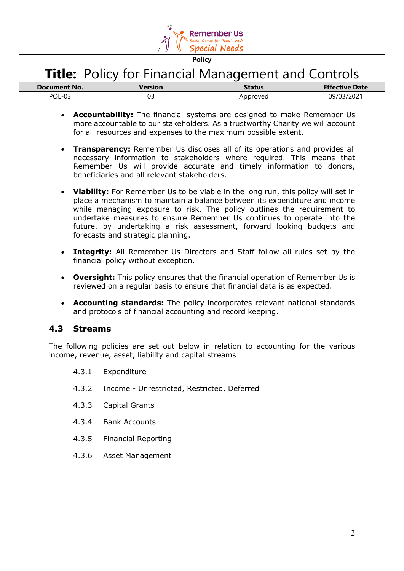

| <b>Title:</b> Policy for Financial Management and Controls |                |               |                       |
|------------------------------------------------------------|----------------|---------------|-----------------------|
| Document No.                                               | <b>Version</b> | <b>Status</b> | <b>Effective Date</b> |
| POL-03                                                     |                | Approved      | 09/03/2021            |

- **Accountability:** The financial systems are designed to make Remember Us more accountable to our stakeholders. As a trustworthy Charity we will account for all resources and expenses to the maximum possible extent.
- **Transparency:** Remember Us discloses all of its operations and provides all necessary information to stakeholders where required. This means that Remember Us will provide accurate and timely information to donors, beneficiaries and all relevant stakeholders.
- **Viability:** For Remember Us to be viable in the long run, this policy will set in place a mechanism to maintain a balance between its expenditure and income while managing exposure to risk. The policy outlines the requirement to undertake measures to ensure Remember Us continues to operate into the future, by undertaking a risk assessment, forward looking budgets and forecasts and strategic planning.
- **Integrity:** All Remember Us Directors and Staff follow all rules set by the financial policy without exception.
- **Oversight:** This policy ensures that the financial operation of Remember Us is reviewed on a regular basis to ensure that financial data is as expected.
- **Accounting standards:** The policy incorporates relevant national standards and protocols of financial accounting and record keeping.

## **4.3 Streams**

The following policies are set out below in relation to accounting for the various income, revenue, asset, liability and capital streams

- 4.3.1 Expenditure
- 4.3.2 Income Unrestricted, Restricted, Deferred
- 4.3.3 Capital Grants
- 4.3.4 Bank Accounts
- 4.3.5 Financial Reporting
- 4.3.6 Asset Management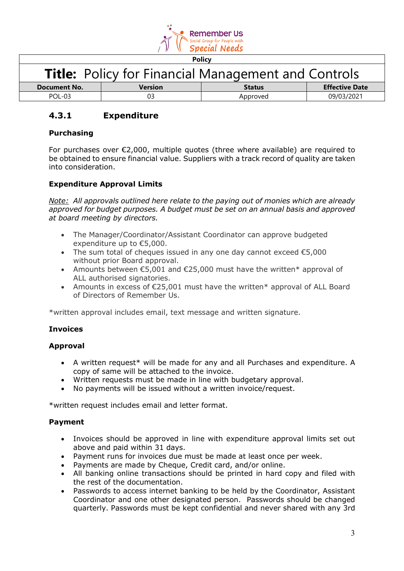

| וו<br>× |  |
|---------|--|
|---------|--|

| <b>Title:</b> Policy for Financial Management and Controls |         |               |                       |
|------------------------------------------------------------|---------|---------------|-----------------------|
| Document No.                                               | Version | <b>Status</b> | <b>Effective Date</b> |
| POL-03                                                     |         | Approved      | 09/03/2021            |

## **4.3.1 Expenditure**

### **Purchasing**

For purchases over  $\epsilon$ 2,000, multiple quotes (three where available) are required to be obtained to ensure financial value. Suppliers with a track record of quality are taken into consideration.

## **Expenditure Approval Limits**

*Note: All approvals outlined here relate to the paying out of monies which are already approved for budget purposes. A budget must be set on an annual basis and approved at board meeting by directors.*

- The Manager/Coordinator/Assistant Coordinator can approve budgeted expenditure up to €5,000.
- The sum total of cheques issued in any one day cannot exceed €5,000 without prior Board approval.
- Amounts between  $\epsilon$ 5,001 and  $\epsilon$ 25,000 must have the written\* approval of ALL authorised signatories.
- Amounts in excess of €25,001 must have the written\* approval of ALL Board of Directors of Remember Us.

\*written approval includes email, text message and written signature.

### **Invoices**

### **Approval**

- A written request\* will be made for any and all Purchases and expenditure. A copy of same will be attached to the invoice.
- Written requests must be made in line with budgetary approval.
- No payments will be issued without a written invoice/request.

\*written request includes email and letter format.

### **Payment**

- Invoices should be approved in line with expenditure approval limits set out above and paid within 31 days.
- Payment runs for invoices due must be made at least once per week.
- Payments are made by Cheque, Credit card, and/or online.
- All banking online transactions should be printed in hard copy and filed with the rest of the documentation.
- Passwords to access internet banking to be held by the Coordinator, Assistant Coordinator and one other designated person. Passwords should be changed quarterly. Passwords must be kept confidential and never shared with any 3rd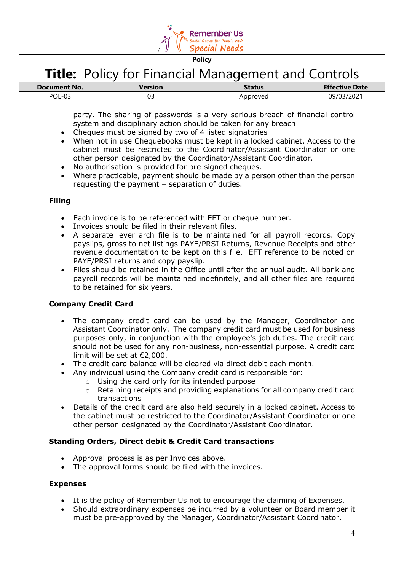

| <b>Title:</b> Policy for Financial Management and Controls |                |               |                       |
|------------------------------------------------------------|----------------|---------------|-----------------------|
| <b>Document No.</b>                                        | <b>Version</b> | <b>Status</b> | <b>Effective Date</b> |
| POI -03                                                    | 03             | Approved      | 09/03/2021            |

party. The sharing of passwords is a very serious breach of financial control system and disciplinary action should be taken for any breach

- Cheques must be signed by two of 4 listed signatories
- When not in use Chequebooks must be kept in a locked cabinet. Access to the cabinet must be restricted to the Coordinator/Assistant Coordinator or one other person designated by the Coordinator/Assistant Coordinator.
- No authorisation is provided for pre-signed cheques.
- Where practicable, payment should be made by a person other than the person requesting the payment – separation of duties.

### **Filing**

- Each invoice is to be referenced with EFT or cheque number.
- Invoices should be filed in their relevant files.
- A separate lever arch file is to be maintained for all payroll records. Copy payslips, gross to net listings PAYE/PRSI Returns, Revenue Receipts and other revenue documentation to be kept on this file. EFT reference to be noted on PAYE/PRSI returns and copy payslip.
- Files should be retained in the Office until after the annual audit. All bank and payroll records will be maintained indefinitely, and all other files are required to be retained for six years.

## **Company Credit Card**

- The company credit card can be used by the Manager, Coordinator and Assistant Coordinator only. The company credit card must be used for business purposes only, in conjunction with the employee's job duties. The credit card should not be used for any non-business, non-essential purpose. A credit card limit will be set at €2,000.
- The credit card balance will be cleared via direct debit each month.
- Any individual using the Company credit card is responsible for:
	- o Using the card only for its intended purpose
	- $\circ$  Retaining receipts and providing explanations for all company credit card transactions
- Details of the credit card are also held securely in a locked cabinet. Access to the cabinet must be restricted to the Coordinator/Assistant Coordinator or one other person designated by the Coordinator/Assistant Coordinator.

### **Standing Orders, Direct debit & Credit Card transactions**

- Approval process is as per Invoices above.
- The approval forms should be filed with the invoices.

#### **Expenses**

- It is the policy of Remember Us not to encourage the claiming of Expenses.
- Should extraordinary expenses be incurred by a volunteer or Board member it must be pre-approved by the Manager, Coordinator/Assistant Coordinator.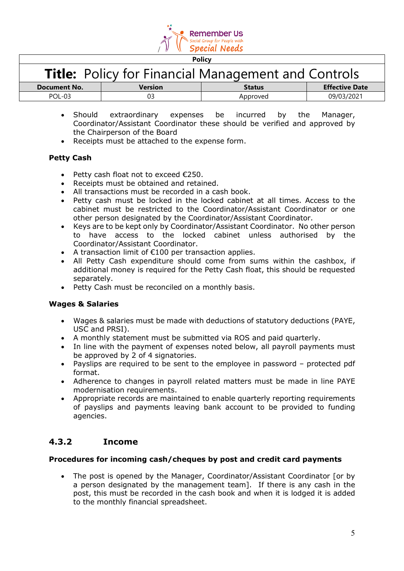

| <b>Title:</b> Policy for Financial Management and Controls |         |               |                       |
|------------------------------------------------------------|---------|---------------|-----------------------|
| Document No.                                               | Version | <b>Status</b> | <b>Effective Date</b> |
| POL-03                                                     |         | Approved      | 09/03/2021            |

- Should extraordinary expenses be incurred by the Manager, Coordinator/Assistant Coordinator these should be verified and approved by the Chairperson of the Board
- Receipts must be attached to the expense form.

## **Petty Cash**

- Petty cash float not to exceed €250.
- Receipts must be obtained and retained.
- All transactions must be recorded in a cash book.
- Petty cash must be locked in the locked cabinet at all times. Access to the cabinet must be restricted to the Coordinator/Assistant Coordinator or one other person designated by the Coordinator/Assistant Coordinator.
- Keys are to be kept only by Coordinator/Assistant Coordinator. No other person to have access to the locked cabinet unless authorised by the Coordinator/Assistant Coordinator.
- A transaction limit of €100 per transaction applies.
- All Petty Cash expenditure should come from sums within the cashbox, if additional money is required for the Petty Cash float, this should be requested separately.
- Petty Cash must be reconciled on a monthly basis.

## **Wages & Salaries**

- Wages & salaries must be made with deductions of statutory deductions (PAYE, USC and PRSI).
- A monthly statement must be submitted via ROS and paid quarterly.
- In line with the payment of expenses noted below, all payroll payments must be approved by 2 of 4 signatories.
- Payslips are required to be sent to the employee in password protected pdf format.
- Adherence to changes in payroll related matters must be made in line PAYE modernisation requirements.
- Appropriate records are maintained to enable quarterly reporting requirements of payslips and payments leaving bank account to be provided to funding agencies.

## **4.3.2 Income**

### **Procedures for incoming cash/cheques by post and credit card payments**

• The post is opened by the Manager, Coordinator/Assistant Coordinator [or by a person designated by the management team]. If there is any cash in the post, this must be recorded in the cash book and when it is lodged it is added to the monthly financial spreadsheet.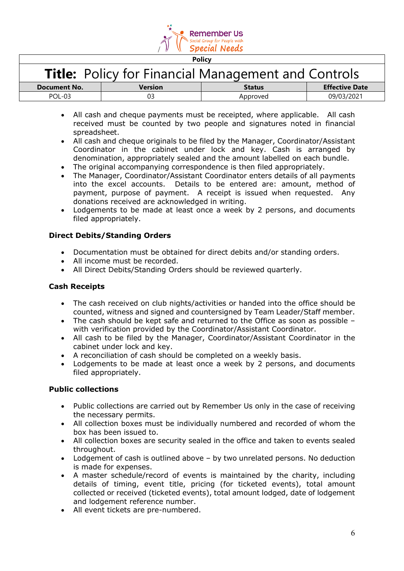

| <b>Title:</b> Policy for Financial Management and Controls |         |               |                       |
|------------------------------------------------------------|---------|---------------|-----------------------|
| Document No.                                               | Version | <b>Status</b> | <b>Effective Date</b> |
| POI -03                                                    |         | Approved      | 09/03/2021            |

- All cash and cheque payments must be receipted, where applicable. All cash received must be counted by two people and signatures noted in financial spreadsheet.
- All cash and cheque originals to be filed by the Manager, Coordinator/Assistant Coordinator in the cabinet under lock and key. Cash is arranged by denomination, appropriately sealed and the amount labelled on each bundle.
- The original accompanying correspondence is then filed appropriately.
- The Manager, Coordinator/Assistant Coordinator enters details of all payments into the excel accounts. Details to be entered are: amount, method of payment, purpose of payment. A receipt is issued when requested. Any donations received are acknowledged in writing.
- Lodgements to be made at least once a week by 2 persons, and documents filed appropriately.

## **Direct Debits/Standing Orders**

- Documentation must be obtained for direct debits and/or standing orders.
- All income must be recorded.
- All Direct Debits/Standing Orders should be reviewed quarterly.

### **Cash Receipts**

- The cash received on club nights/activities or handed into the office should be counted, witness and signed and countersigned by Team Leader/Staff member.
- The cash should be kept safe and returned to the Office as soon as possible with verification provided by the Coordinator/Assistant Coordinator.
- All cash to be filed by the Manager, Coordinator/Assistant Coordinator in the cabinet under lock and key.
- A reconciliation of cash should be completed on a weekly basis.
- Lodgements to be made at least once a week by 2 persons, and documents filed appropriately.

### **Public collections**

- Public collections are carried out by Remember Us only in the case of receiving the necessary permits.
- All collection boxes must be individually numbered and recorded of whom the box has been issued to.
- All collection boxes are security sealed in the office and taken to events sealed throughout.
- Lodgement of cash is outlined above by two unrelated persons. No deduction is made for expenses.
- A master schedule/record of events is maintained by the charity, including details of timing, event title, pricing (for ticketed events), total amount collected or received (ticketed events), total amount lodged, date of lodgement and lodgement reference number.
- All event tickets are pre-numbered.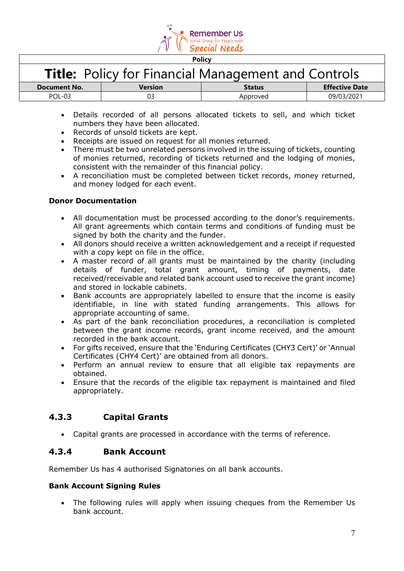

| <b>Title:</b> Policy for Financial Management and Controls |         |               |                       |
|------------------------------------------------------------|---------|---------------|-----------------------|
| Document No.                                               | Version | <b>Status</b> | <b>Effective Date</b> |
| POI -03                                                    |         | Approved      | 09/03/2021            |

- Details recorded of all persons allocated tickets to sell, and which ticket numbers they have been allocated.
- Records of unsold tickets are kept.
- Receipts are issued on request for all monies returned.
- There must be two unrelated persons involved in the issuing of tickets, counting of monies returned, recording of tickets returned and the lodging of monies, consistent with the remainder of this financial policy.
- A reconciliation must be completed between ticket records, money returned, and money lodged for each event.

### **Donor Documentation**

- All documentation must be processed according to the donor's requirements. All grant agreements which contain terms and conditions of funding must be signed by both the charity and the funder.
- All donors should receive a written acknowledgement and a receipt if requested with a copy kept on file in the office.
- A master record of all grants must be maintained by the charity (including details of funder, total grant amount, timing of payments, date received/receivable and related bank account used to receive the grant income) and stored in lockable cabinets.
- Bank accounts are appropriately labelled to ensure that the income is easily identifiable, in line with stated funding arrangements. This allows for appropriate accounting of same.
- As part of the bank reconciliation procedures, a reconciliation is completed between the grant income records, grant income received, and the amount recorded in the bank account.
- For gifts received, ensure that the 'Enduring Certificates (CHY3 Cert)' or 'Annual Certificates (CHY4 Cert)' are obtained from all donors.
- Perform an annual review to ensure that all eligible tax repayments are obtained.
- Ensure that the records of the eligible tax repayment is maintained and filed appropriately.

## **4.3.3 Capital Grants**

• Capital grants are processed in accordance with the terms of reference.

## **4.3.4 Bank Account**

Remember Us has 4 authorised Signatories on all bank accounts.

### **Bank Account Signing Rules**

• The following rules will apply when issuing cheques from the Remember Us bank account.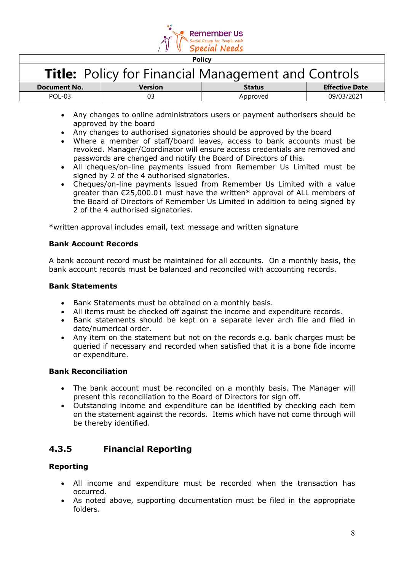

| <b>Title:</b> Policy for Financial Management and Controls |         |               |                       |
|------------------------------------------------------------|---------|---------------|-----------------------|
| Document No.                                               | Version | <b>Status</b> | <b>Effective Date</b> |
| POI -03                                                    |         | Approved      | 09/03/2021            |

- Any changes to online administrators users or payment authorisers should be approved by the board
- Any changes to authorised signatories should be approved by the board
- Where a member of staff/board leaves, access to bank accounts must be revoked. Manager/Coordinator will ensure access credentials are removed and passwords are changed and notify the Board of Directors of this.
- All cheques/on-line payments issued from Remember Us Limited must be signed by 2 of the 4 authorised signatories.
- Cheques/on-line payments issued from Remember Us Limited with a value greater than €25,000.01 must have the written\* approval of ALL members of the Board of Directors of Remember Us Limited in addition to being signed by 2 of the 4 authorised signatories.

\*written approval includes email, text message and written signature

## **Bank Account Records**

A bank account record must be maintained for all accounts. On a monthly basis, the bank account records must be balanced and reconciled with accounting records.

### **Bank Statements**

- Bank Statements must be obtained on a monthly basis.
- All items must be checked off against the income and expenditure records.
- Bank statements should be kept on a separate lever arch file and filed in date/numerical order.
- Any item on the statement but not on the records e.g. bank charges must be queried if necessary and recorded when satisfied that it is a bone fide income or expenditure.

### **Bank Reconciliation**

- The bank account must be reconciled on a monthly basis. The Manager will present this reconciliation to the Board of Directors for sign off.
- Outstanding income and expenditure can be identified by checking each item on the statement against the records. Items which have not come through will be thereby identified.

## **4.3.5 Financial Reporting**

## **Reporting**

- All income and expenditure must be recorded when the transaction has occurred.
- As noted above, supporting documentation must be filed in the appropriate folders.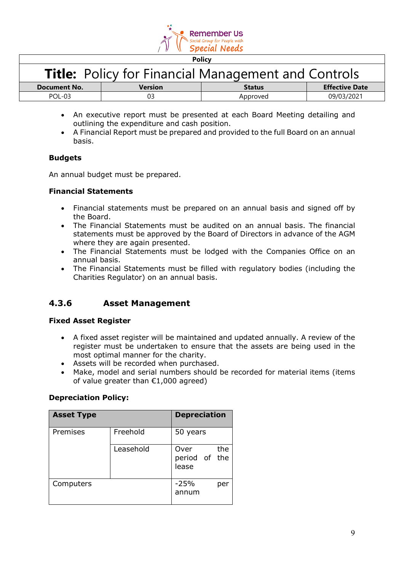

| <b>Title:</b> Policy for Financial Management and Controls |         |               |                       |
|------------------------------------------------------------|---------|---------------|-----------------------|
| Document No.                                               | Version | <b>Status</b> | <b>Effective Date</b> |
| POL-03                                                     |         | Approved      | 09/03/2021            |

- An executive report must be presented at each Board Meeting detailing and outlining the expenditure and cash position.
- A Financial Report must be prepared and provided to the full Board on an annual basis.

### **Budgets**

An annual budget must be prepared.

### **Financial Statements**

- Financial statements must be prepared on an annual basis and signed off by the Board.
- The Financial Statements must be audited on an annual basis. The financial statements must be approved by the Board of Directors in advance of the AGM where they are again presented.
- The Financial Statements must be lodged with the Companies Office on an annual basis.
- The Financial Statements must be filled with regulatory bodies (including the Charities Regulator) on an annual basis.

## **4.3.6 Asset Management**

### **Fixed Asset Register**

- A fixed asset register will be maintained and updated annually. A review of the register must be undertaken to ensure that the assets are being used in the most optimal manner for the charity.
- Assets will be recorded when purchased.
- Make, model and serial numbers should be recorded for material items (items of value greater than  $E1,000$  agreed)

### **Depreciation Policy:**

| <b>Asset Type</b> |           | <b>Depreciation</b>                   |
|-------------------|-----------|---------------------------------------|
| Premises          | Freehold  | 50 years                              |
|                   | Leasehold | the<br>Over<br>period of the<br>lease |
| Computers         |           | $-25%$<br>per<br>annum                |